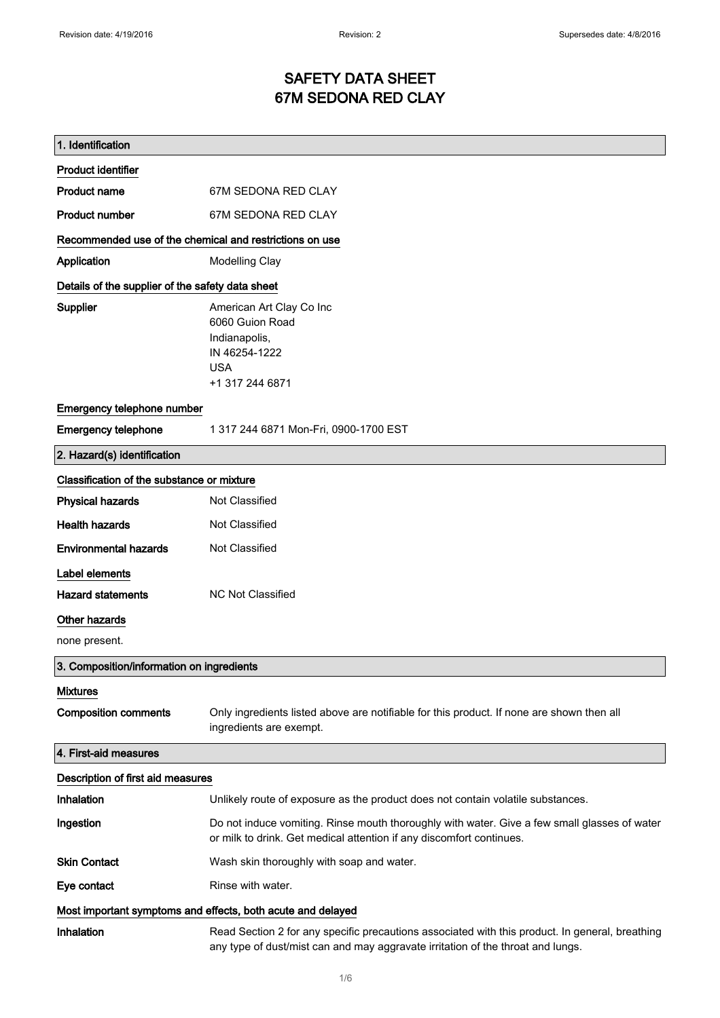## SAFETY DATA SHEET 67M SEDONA RED CLAY

| 1. Identification                                           |                                                                                                                                                                                    |
|-------------------------------------------------------------|------------------------------------------------------------------------------------------------------------------------------------------------------------------------------------|
| <b>Product identifier</b>                                   |                                                                                                                                                                                    |
| <b>Product name</b>                                         | 67M SEDONA RED CLAY                                                                                                                                                                |
| <b>Product number</b>                                       | 67M SEDONA RED CLAY                                                                                                                                                                |
| Recommended use of the chemical and restrictions on use     |                                                                                                                                                                                    |
| Application                                                 | <b>Modelling Clay</b>                                                                                                                                                              |
| Details of the supplier of the safety data sheet            |                                                                                                                                                                                    |
| Supplier                                                    | American Art Clay Co Inc<br>6060 Guion Road<br>Indianapolis,<br>IN 46254-1222<br><b>USA</b><br>+1 317 244 6871                                                                     |
| Emergency telephone number                                  |                                                                                                                                                                                    |
| <b>Emergency telephone</b>                                  | 1 317 244 6871 Mon-Fri, 0900-1700 EST                                                                                                                                              |
| 2. Hazard(s) identification                                 |                                                                                                                                                                                    |
| Classification of the substance or mixture                  |                                                                                                                                                                                    |
| <b>Physical hazards</b>                                     | Not Classified                                                                                                                                                                     |
| <b>Health hazards</b>                                       | Not Classified                                                                                                                                                                     |
| <b>Environmental hazards</b>                                | Not Classified                                                                                                                                                                     |
| Label elements                                              |                                                                                                                                                                                    |
| <b>Hazard statements</b>                                    | <b>NC Not Classified</b>                                                                                                                                                           |
| Other hazards                                               |                                                                                                                                                                                    |
| none present.                                               |                                                                                                                                                                                    |
| 3. Composition/information on ingredients                   |                                                                                                                                                                                    |
| <b>Mixtures</b>                                             |                                                                                                                                                                                    |
| <b>Composition comments</b>                                 | Only ingredients listed above are notifiable for this product. If none are shown then all<br>ingredients are exempt.                                                               |
| 4. First-aid measures                                       |                                                                                                                                                                                    |
| Description of first aid measures                           |                                                                                                                                                                                    |
| Inhalation                                                  | Unlikely route of exposure as the product does not contain volatile substances.                                                                                                    |
| Ingestion                                                   | Do not induce vomiting. Rinse mouth thoroughly with water. Give a few small glasses of water<br>or milk to drink. Get medical attention if any discomfort continues.               |
| <b>Skin Contact</b>                                         | Wash skin thoroughly with soap and water.                                                                                                                                          |
| Eye contact                                                 | Rinse with water.                                                                                                                                                                  |
| Most important symptoms and effects, both acute and delayed |                                                                                                                                                                                    |
| Inhalation                                                  | Read Section 2 for any specific precautions associated with this product. In general, breathing<br>any type of dust/mist can and may aggravate irritation of the throat and lungs. |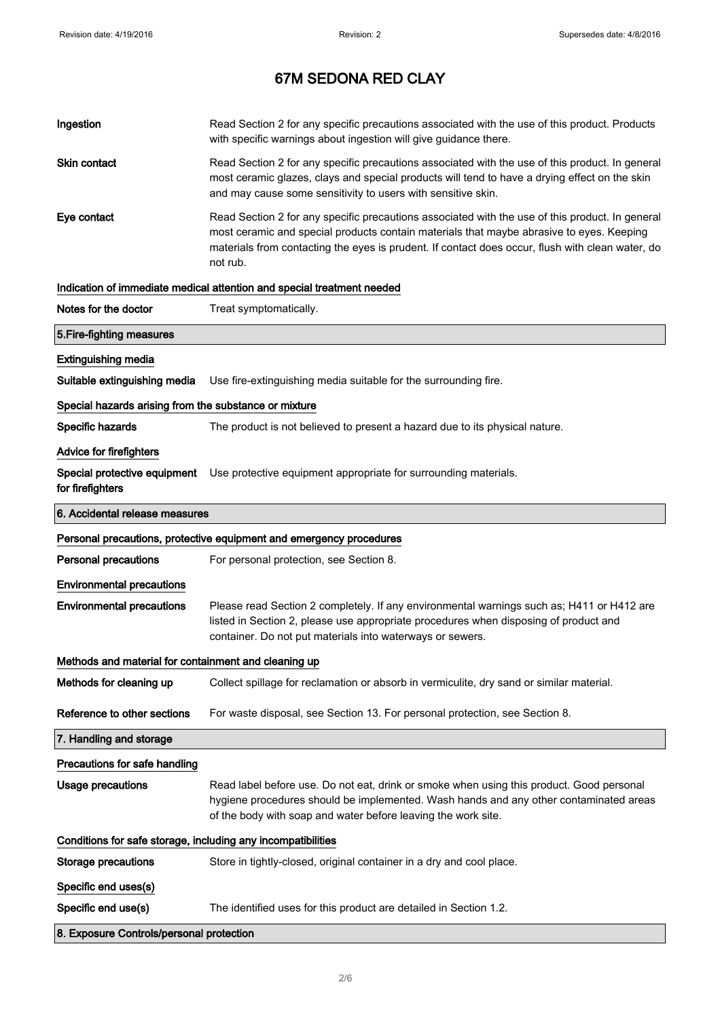| Ingestion                                                           | Read Section 2 for any specific precautions associated with the use of this product. Products<br>with specific warnings about ingestion will give guidance there.                                                                                                                                           |
|---------------------------------------------------------------------|-------------------------------------------------------------------------------------------------------------------------------------------------------------------------------------------------------------------------------------------------------------------------------------------------------------|
| <b>Skin contact</b>                                                 | Read Section 2 for any specific precautions associated with the use of this product. In general<br>most ceramic glazes, clays and special products will tend to have a drying effect on the skin<br>and may cause some sensitivity to users with sensitive skin.                                            |
| Eye contact                                                         | Read Section 2 for any specific precautions associated with the use of this product. In general<br>most ceramic and special products contain materials that maybe abrasive to eyes. Keeping<br>materials from contacting the eyes is prudent. If contact does occur, flush with clean water, do<br>not rub. |
|                                                                     | Indication of immediate medical attention and special treatment needed                                                                                                                                                                                                                                      |
| Notes for the doctor                                                | Treat symptomatically.                                                                                                                                                                                                                                                                                      |
| 5. Fire-fighting measures                                           |                                                                                                                                                                                                                                                                                                             |
| <b>Extinguishing media</b>                                          |                                                                                                                                                                                                                                                                                                             |
| Suitable extinguishing media                                        | Use fire-extinguishing media suitable for the surrounding fire.                                                                                                                                                                                                                                             |
| Special hazards arising from the substance or mixture               |                                                                                                                                                                                                                                                                                                             |
| Specific hazards                                                    | The product is not believed to present a hazard due to its physical nature.                                                                                                                                                                                                                                 |
| Advice for firefighters                                             |                                                                                                                                                                                                                                                                                                             |
| for firefighters                                                    | Special protective equipment Use protective equipment appropriate for surrounding materials.                                                                                                                                                                                                                |
| 6. Accidental release measures                                      |                                                                                                                                                                                                                                                                                                             |
| Personal precautions, protective equipment and emergency procedures |                                                                                                                                                                                                                                                                                                             |
|                                                                     |                                                                                                                                                                                                                                                                                                             |
| Personal precautions                                                | For personal protection, see Section 8.                                                                                                                                                                                                                                                                     |
| <b>Environmental precautions</b>                                    |                                                                                                                                                                                                                                                                                                             |
| <b>Environmental precautions</b>                                    | Please read Section 2 completely. If any environmental warnings such as; H411 or H412 are<br>listed in Section 2, please use appropriate procedures when disposing of product and<br>container. Do not put materials into waterways or sewers.                                                              |
| Methods and material for containment and cleaning up                |                                                                                                                                                                                                                                                                                                             |
| Methods for cleaning up                                             | Collect spillage for reclamation or absorb in vermiculite, dry sand or similar material.                                                                                                                                                                                                                    |
| Reference to other sections                                         | For waste disposal, see Section 13. For personal protection, see Section 8.                                                                                                                                                                                                                                 |
| 7. Handling and storage                                             |                                                                                                                                                                                                                                                                                                             |
| Precautions for safe handling                                       |                                                                                                                                                                                                                                                                                                             |
| <b>Usage precautions</b>                                            | Read label before use. Do not eat, drink or smoke when using this product. Good personal<br>hygiene procedures should be implemented. Wash hands and any other contaminated areas<br>of the body with soap and water before leaving the work site.                                                          |
| Conditions for safe storage, including any incompatibilities        |                                                                                                                                                                                                                                                                                                             |
| <b>Storage precautions</b>                                          | Store in tightly-closed, original container in a dry and cool place.                                                                                                                                                                                                                                        |
| Specific end uses(s)                                                |                                                                                                                                                                                                                                                                                                             |
| Specific end use(s)                                                 | The identified uses for this product are detailed in Section 1.2.                                                                                                                                                                                                                                           |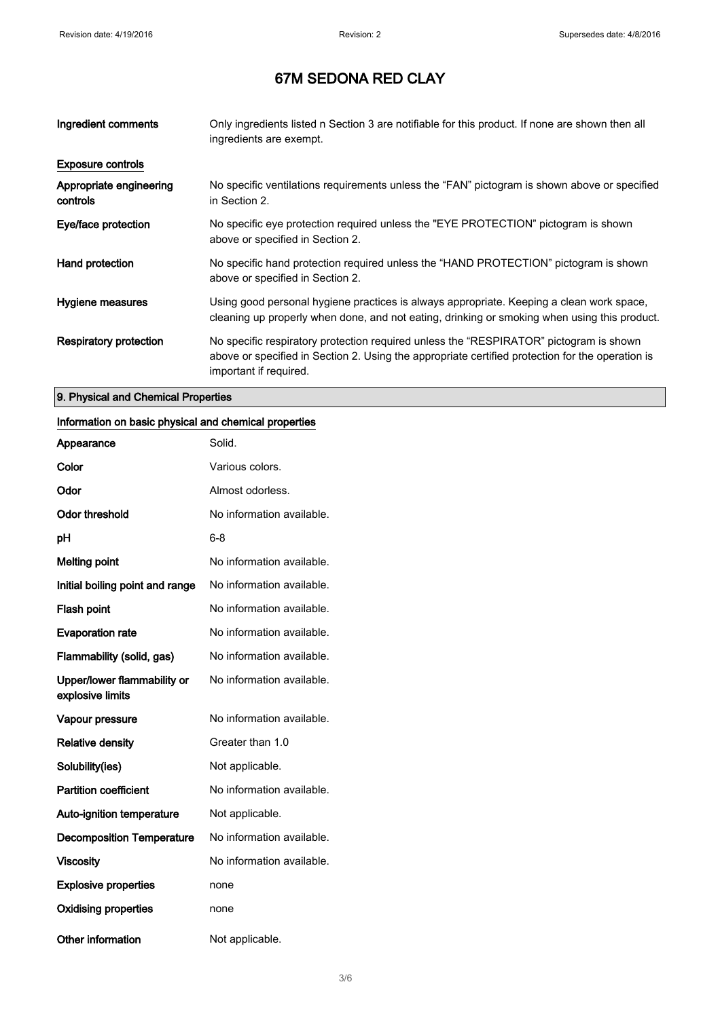| Ingredient comments                 | Only ingredients listed n Section 3 are notifiable for this product. If none are shown then all<br>ingredients are exempt.                                                                                           |
|-------------------------------------|----------------------------------------------------------------------------------------------------------------------------------------------------------------------------------------------------------------------|
| <b>Exposure controls</b>            |                                                                                                                                                                                                                      |
| Appropriate engineering<br>controls | No specific ventilations requirements unless the "FAN" pictogram is shown above or specified<br>in Section 2.                                                                                                        |
| Eye/face protection                 | No specific eye protection required unless the "EYE PROTECTION" pictogram is shown<br>above or specified in Section 2.                                                                                               |
| Hand protection                     | No specific hand protection required unless the "HAND PROTECTION" pictogram is shown<br>above or specified in Section 2.                                                                                             |
| Hygiene measures                    | Using good personal hygiene practices is always appropriate. Keeping a clean work space,<br>cleaning up properly when done, and not eating, drinking or smoking when using this product.                             |
| <b>Respiratory protection</b>       | No specific respiratory protection required unless the "RESPIRATOR" pictogram is shown<br>above or specified in Section 2. Using the appropriate certified protection for the operation is<br>important if required. |

#### 9. Physical and Chemical Properties

#### Information on basic physical and chemical properties

| Appearance                                      | Solid.                    |
|-------------------------------------------------|---------------------------|
| Color                                           | Various colors.           |
| Odor                                            | Almost odorless.          |
| <b>Odor threshold</b>                           | No information available. |
| рH                                              | 6-8                       |
| <b>Melting point</b>                            | No information available. |
| Initial boiling point and range                 | No information available. |
| <b>Flash point</b>                              | No information available. |
| <b>Evaporation rate</b>                         | No information available. |
| Flammability (solid, gas)                       | No information available. |
| Upper/lower flammability or<br>explosive limits | No information available. |
| Vapour pressure                                 | No information available. |
| <b>Relative density</b>                         | Greater than 1.0          |
| Solubility(ies)                                 | Not applicable.           |
| <b>Partition coefficient</b>                    | No information available. |
| <b>Auto-ignition temperature</b>                | Not applicable.           |
| <b>Decomposition Temperature</b>                | No information available. |
| <b>Viscosity</b>                                | No information available. |
| <b>Explosive properties</b>                     | none                      |
| <b>Oxidising properties</b>                     | none                      |
| Other information                               | Not applicable.           |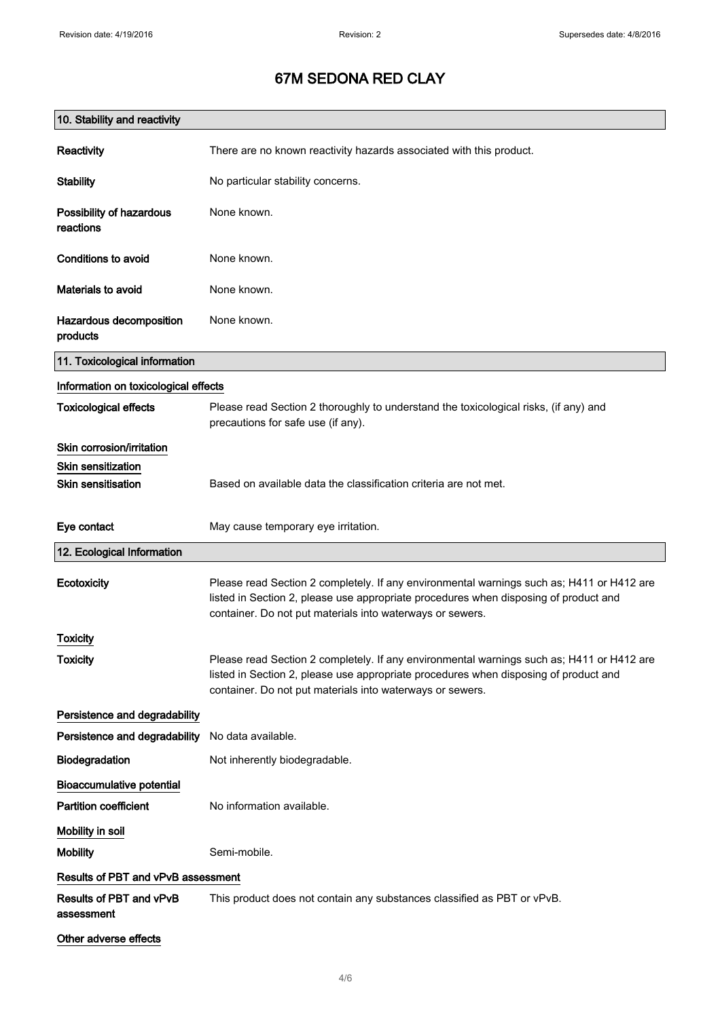| 10. Stability and reactivity          |                                                                                                                                                                                                                                                |
|---------------------------------------|------------------------------------------------------------------------------------------------------------------------------------------------------------------------------------------------------------------------------------------------|
| Reactivity                            | There are no known reactivity hazards associated with this product.                                                                                                                                                                            |
| <b>Stability</b>                      | No particular stability concerns.                                                                                                                                                                                                              |
| Possibility of hazardous<br>reactions | None known.                                                                                                                                                                                                                                    |
| Conditions to avoid                   | None known.                                                                                                                                                                                                                                    |
| Materials to avoid                    | None known.                                                                                                                                                                                                                                    |
| Hazardous decomposition<br>products   | None known.                                                                                                                                                                                                                                    |
| 11. Toxicological information         |                                                                                                                                                                                                                                                |
| Information on toxicological effects  |                                                                                                                                                                                                                                                |
| <b>Toxicological effects</b>          | Please read Section 2 thoroughly to understand the toxicological risks, (if any) and<br>precautions for safe use (if any).                                                                                                                     |
| Skin corrosion/irritation             |                                                                                                                                                                                                                                                |
| <b>Skin sensitization</b>             |                                                                                                                                                                                                                                                |
| <b>Skin sensitisation</b>             | Based on available data the classification criteria are not met.                                                                                                                                                                               |
| Eye contact                           | May cause temporary eye irritation.                                                                                                                                                                                                            |
| 12. Ecological Information            |                                                                                                                                                                                                                                                |
| Ecotoxicity                           | Please read Section 2 completely. If any environmental warnings such as; H411 or H412 are<br>listed in Section 2, please use appropriate procedures when disposing of product and<br>container. Do not put materials into waterways or sewers. |
| Toxicity                              |                                                                                                                                                                                                                                                |
| <b>Toxicity</b>                       | Please read Section 2 completely. If any environmental warnings such as; H411 or H412 are<br>listed in Section 2, please use appropriate procedures when disposing of product and<br>container. Do not put materials into waterways or sewers. |
| Persistence and degradability         |                                                                                                                                                                                                                                                |
| Persistence and degradability         | No data available.                                                                                                                                                                                                                             |
| Biodegradation                        | Not inherently biodegradable.                                                                                                                                                                                                                  |
| <b>Bioaccumulative potential</b>      |                                                                                                                                                                                                                                                |
| <b>Partition coefficient</b>          | No information available.                                                                                                                                                                                                                      |
| Mobility in soil                      |                                                                                                                                                                                                                                                |
| <b>Mobility</b>                       | Semi-mobile.                                                                                                                                                                                                                                   |
| Results of PBT and vPvB assessment    |                                                                                                                                                                                                                                                |
| Results of PBT and vPvB<br>assessment | This product does not contain any substances classified as PBT or vPvB.                                                                                                                                                                        |
| Other adverse effects                 |                                                                                                                                                                                                                                                |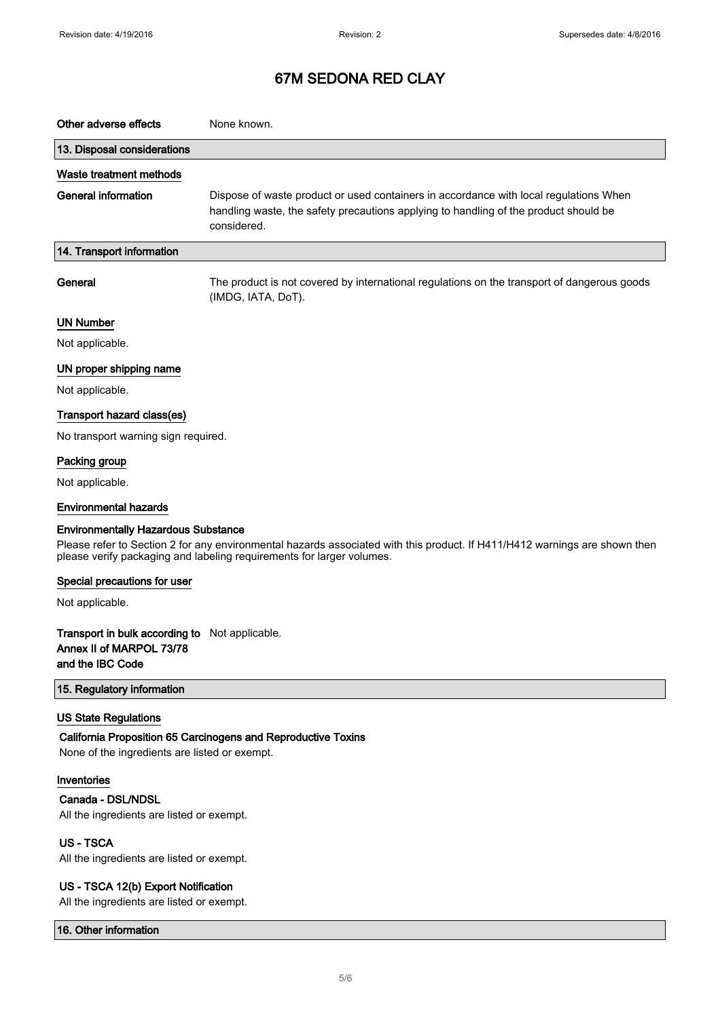| Other adverse effects                                                                                                                                                                                                                             | None known.                                                                                                                                                                                  |
|---------------------------------------------------------------------------------------------------------------------------------------------------------------------------------------------------------------------------------------------------|----------------------------------------------------------------------------------------------------------------------------------------------------------------------------------------------|
| 13. Disposal considerations                                                                                                                                                                                                                       |                                                                                                                                                                                              |
| Waste treatment methods                                                                                                                                                                                                                           |                                                                                                                                                                                              |
| <b>General information</b>                                                                                                                                                                                                                        | Dispose of waste product or used containers in accordance with local regulations When<br>handling waste, the safety precautions applying to handling of the product should be<br>considered. |
| 14. Transport information                                                                                                                                                                                                                         |                                                                                                                                                                                              |
| General                                                                                                                                                                                                                                           | The product is not covered by international regulations on the transport of dangerous goods<br>(IMDG, IATA, DoT).                                                                            |
| <b>UN Number</b>                                                                                                                                                                                                                                  |                                                                                                                                                                                              |
| Not applicable.                                                                                                                                                                                                                                   |                                                                                                                                                                                              |
| UN proper shipping name                                                                                                                                                                                                                           |                                                                                                                                                                                              |
| Not applicable.                                                                                                                                                                                                                                   |                                                                                                                                                                                              |
| Transport hazard class(es)                                                                                                                                                                                                                        |                                                                                                                                                                                              |
| No transport warning sign required.                                                                                                                                                                                                               |                                                                                                                                                                                              |
| Packing group                                                                                                                                                                                                                                     |                                                                                                                                                                                              |
| Not applicable.                                                                                                                                                                                                                                   |                                                                                                                                                                                              |
| <b>Environmental hazards</b>                                                                                                                                                                                                                      |                                                                                                                                                                                              |
| <b>Environmentally Hazardous Substance</b><br>Please refer to Section 2 for any environmental hazards associated with this product. If H411/H412 warnings are shown then<br>please verify packaging and labeling requirements for larger volumes. |                                                                                                                                                                                              |
| Special precautions for user                                                                                                                                                                                                                      |                                                                                                                                                                                              |
| Not applicable.                                                                                                                                                                                                                                   |                                                                                                                                                                                              |
| Transport in bulk according to Not applicable.<br>Annex II of MARPOL 73/78<br>and the IBC Code                                                                                                                                                    |                                                                                                                                                                                              |
| 15. Regulatory information                                                                                                                                                                                                                        |                                                                                                                                                                                              |
| <b>US State Regulations</b><br>California Proposition 65 Carcinogens and Reproductive Toxins<br>None of the ingredients are listed or exempt.                                                                                                     |                                                                                                                                                                                              |
| Inventories<br>Canada - DSL/NDSL<br>All the ingredients are listed or exempt.                                                                                                                                                                     |                                                                                                                                                                                              |
| <b>US-TSCA</b><br>All the ingredients are listed or exempt.                                                                                                                                                                                       |                                                                                                                                                                                              |
| US - TSCA 12(b) Export Notification                                                                                                                                                                                                               |                                                                                                                                                                                              |

All the ingredients are listed or exempt.

16. Other information